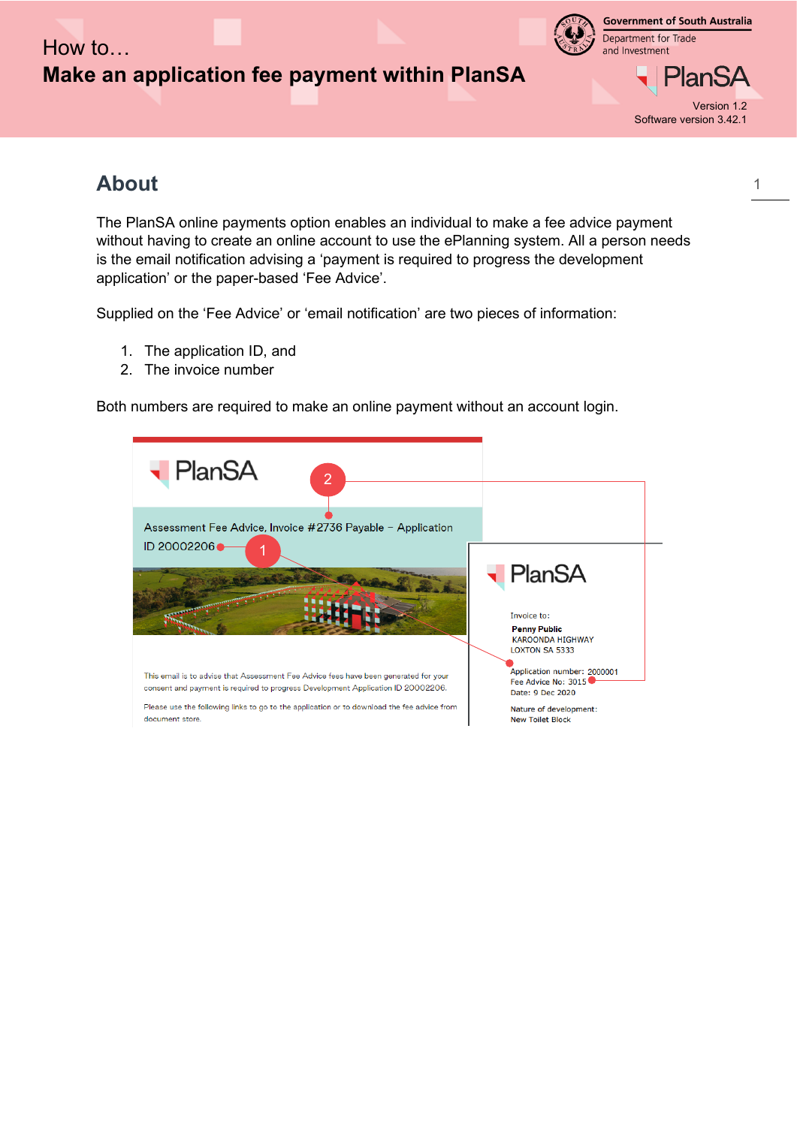

**Government of South Australia** Department for Trade and Investment



Version 1.2 Software version 3.42.1

1

## **About**

The PlanSA online payments option enables an individual to make a fee advice payment without having to create an online account to use the ePlanning system. All a person needs is the email notification advising a 'payment is required to progress the development application' or the paper-based 'Fee Advice'.

Supplied on the 'Fee Advice' or 'email notification' are two pieces of information:

- 1. The application ID, and
- 2. The invoice number

Both numbers are required to make an online payment without an account login.

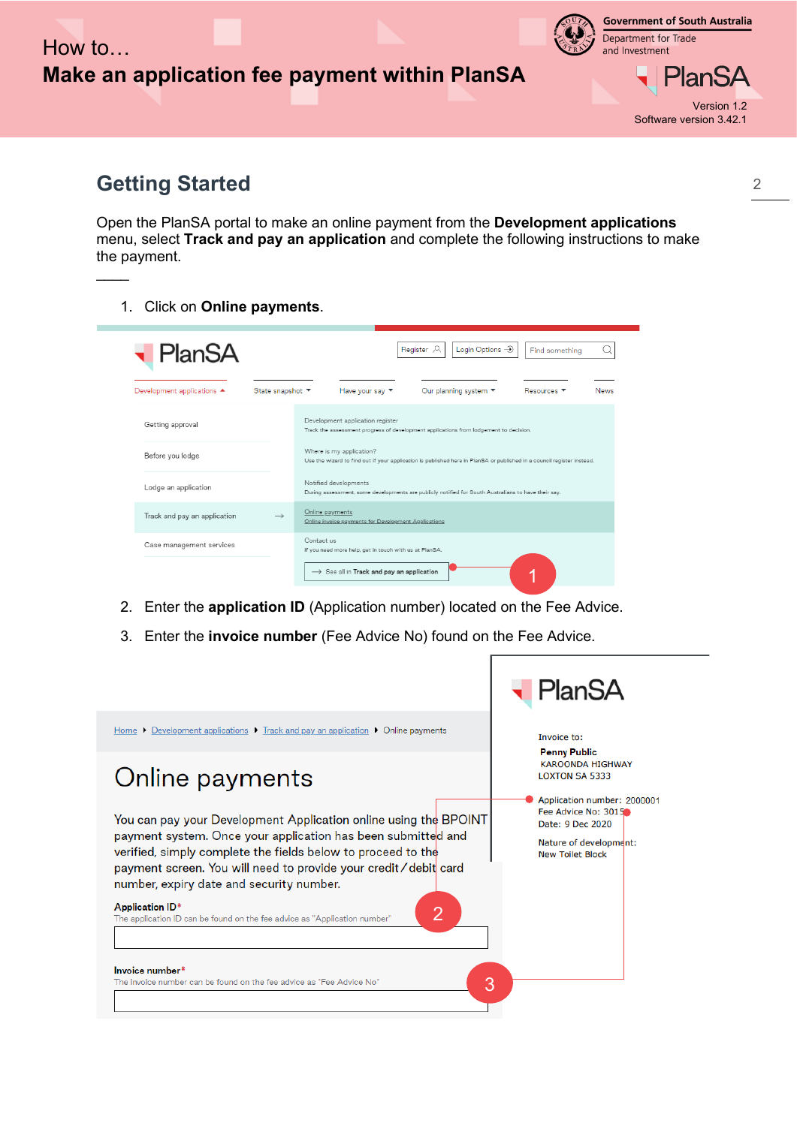

**Government of South Australia** Department for Trade and Investment



Version 1.2 Software version 3.42.1

## **Getting Started**

 $\overline{\phantom{a}}$ 

Open the PlanSA portal to make an online payment from the **Development applications** menu, select **Track and pay an application** and complete the following instructions to make the payment.

1. Click on **Online payments**.

| <b>PlanSA</b>                |                  | Login Options $\rightarrow$<br>Register <sub>2</sub><br>Find something                                                                             |
|------------------------------|------------------|----------------------------------------------------------------------------------------------------------------------------------------------------|
| Development applications ▲   | State snapshot ▼ | Have your say ▼<br>Our planning system ▼<br>Resources ▼<br>News                                                                                    |
| Getting approval             |                  | Development application register<br>Track the assessment progress of development applications from lodgement to decision.                          |
| Before you lodge             |                  | Where is my application?<br>Use the wizard to find out if your application is published here in PlanSA or published in a council register instead. |
| Lodge an application         |                  | Notified developments<br>During assessment, some developments are publicly notified for South Australians to have their say.                       |
| Track and pay an application | $\rightarrow$    | Online payments<br>Online invoice payments for Development Applications                                                                            |
| Case management services     |                  | Contact us<br>If you need more help, get in touch with us at PlanSA.                                                                               |
|                              |                  | $\rightarrow$ See all in Track and pay an application                                                                                              |

- 2. Enter the **application ID** (Application number) located on the Fee Advice.
- 3. Enter the **invoice number** (Fee Advice No) found on the Fee Advice.

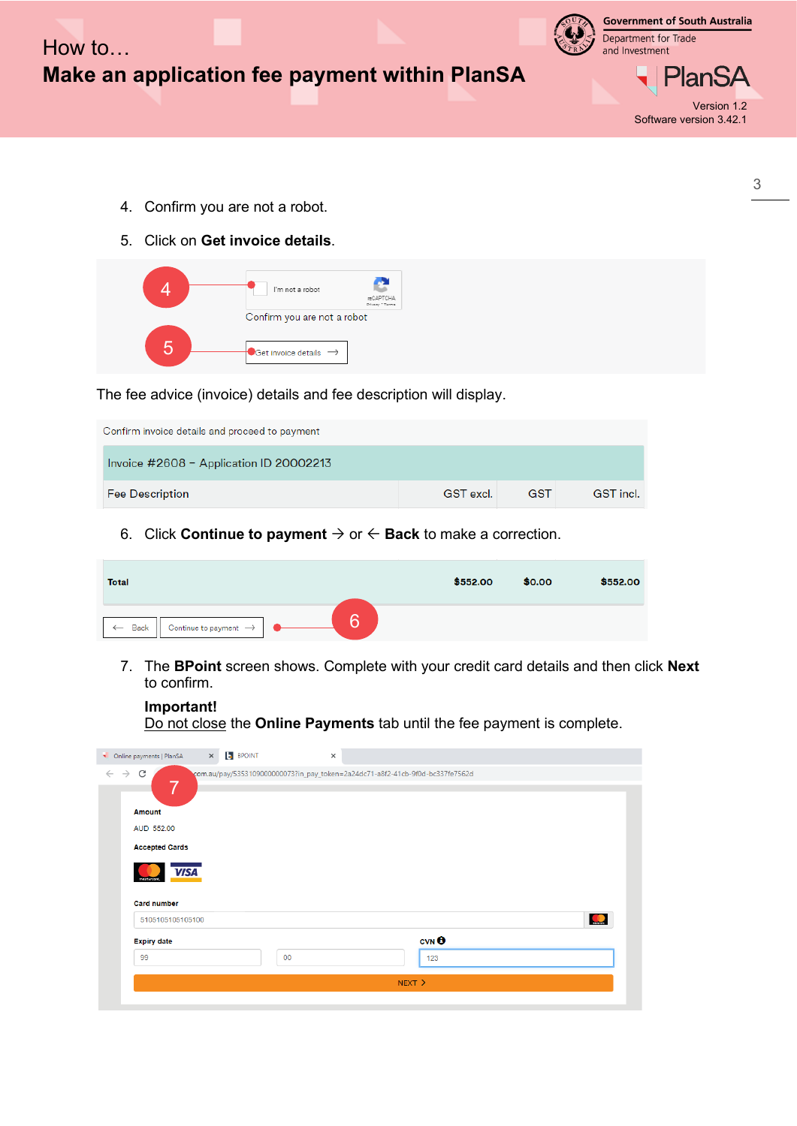

- 4. Confirm you are not a robot.
- 5. Click on **Get invoice details**.

| I'm not a robot                                                         | MCAPTCHA<br>Privacy * Terms |
|-------------------------------------------------------------------------|-----------------------------|
| Confirm you are not a robot<br>$\Box$ Get invoice details $\rightarrow$ |                             |

The fee advice (invoice) details and fee description will display.

| Confirm invoice details and proceed to payment |           |            |           |
|------------------------------------------------|-----------|------------|-----------|
| Invoice $\#2608$ – Application ID 20002213     |           |            |           |
| <b>Fee Description</b>                         | GST excl. | <b>GST</b> | GST incl. |

6. Click **Continue to payment**  $\rightarrow$  or  $\leftarrow$  **Back** to make a correction.

| <b>Total</b>                                                   | \$552.00 | \$0.00 | \$552.00 |
|----------------------------------------------------------------|----------|--------|----------|
| c<br>Continue to payment $\rightarrow$<br>Back<br>$\leftarrow$ |          |        |          |

7. The **BPoint** screen shows. Complete with your credit card details and then click **Next** to confirm.

**Important!** Do not close the **Online Payments** tab until the fee payment is complete.

| <b>Expiry date</b>                                     | $CVN$ <sup><math>\Theta</math></sup> |           |
|--------------------------------------------------------|--------------------------------------|-----------|
|                                                        |                                      |           |
| 5105105105105100                                       |                                      | $\bullet$ |
| VISA <sup>1</sup><br>mastercard.<br><b>Card number</b> |                                      |           |
| <b>Accepted Cards</b>                                  |                                      |           |
| AUD 552.00                                             |                                      |           |
| <b>Amount</b>                                          |                                      |           |
|                                                        |                                      |           |